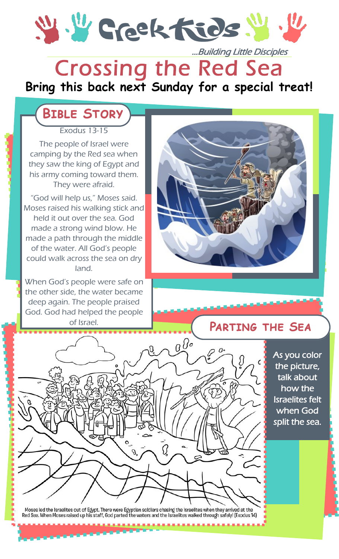Y. Y Grektids.

# Crossing the Red Sea ...Building Little Disciples

#### **Bring this back next Sunday for a special treat!**

## **Bible Story**

Exodus 13-15

The people of Israel were camping by the Red sea when they saw the king of Egypt and his army coming toward them. They were afraid.

"God will help us," Moses said. Moses raised his walking stick and held it out over the sea. God made a strong wind blow. He made a path through the middle of the water. All God's people could walk across the sea on dry land.

When God's people were safe on the other side, the water became deep again. The people praised God. God had helped the people of Israel.



#### **Parting the Sea**

As you color the picture, talk about how the Israelites felt when God split the sea.



Moses led the Israelites out of Egypt. There were Egyptian soldiers chasing the Israelites when they arrived at the<br>Red Sea. When Moses raised up his staff, God parted the waters and the Israelites walked through safely! (